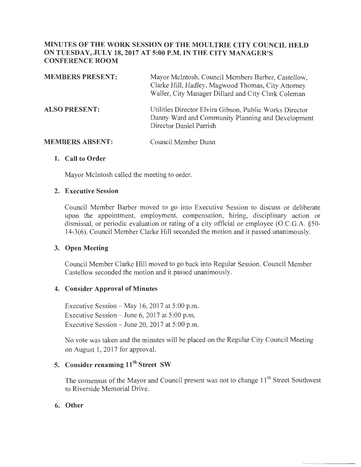#### **MINUTES OF THE WORK SESSION OF THE MOULTRIE CITY COUNCIL HELD ON TUESDAY, JULY 18,2017 AT 5:00P.M. IN THE CITY MANAGER'S CONFERENCE ROOM**

| <b>MEMBERS PRESENT:</b> | Mayor McIntosh, Council Members Barber, Castellow,<br>Clarke Hill, Hadley, Magwood Thomas, City Attorney<br>Waller, City Manager Dillard and City Clerk Coleman |
|-------------------------|-----------------------------------------------------------------------------------------------------------------------------------------------------------------|
| <b>ALSO PRESENT:</b>    | Utilities Director Elvira Gibson, Public Works Director<br>Danny Ward and Community Planning and Development<br>Director Daniel Parrish                         |
| <b>MEMBERS ABSENT:</b>  | Council Member Dunn                                                                                                                                             |

# **1. Call to Order**

Mayor Mcintosh called the meeting to order.

#### **2. Executive Session**

Council Member Barber moved to go into Executive Session to discuss or deliberate upon the appointment, employment, compensation, hiring, disciplinary action or dismissal, or periodic evaluation or rating of a city official or employee (O.C.G.A. §50- 14-3(6). Council Member Clarke Hill seconded the motion and it passed unanimously.

#### **3. Open Meeting**

Council Member Clarke Hill moved to go back into Regular Session. Council Member Castellow seconded the motion and it passed unanimously.

#### **4. Consider Approval of Minutes**

Executive Session – May 16, 2017 at  $5:00$  p.m. Executive Session – June 6, 2017 at  $5:00$  p.m. Executive Session  $-$  June 20, 2017 at 5:00 p.m.

No vote was taken and the minutes will be placed on the Regular City Council Meeting on August 1, 2017 for approval.

### **5. Consider renaming 11<sup>th</sup> Street SW**

The consensus of the Mayor and Council present was not to change 11<sup>th</sup> Street Southwest to Riverside Memorial Drive.

#### **6. Other**